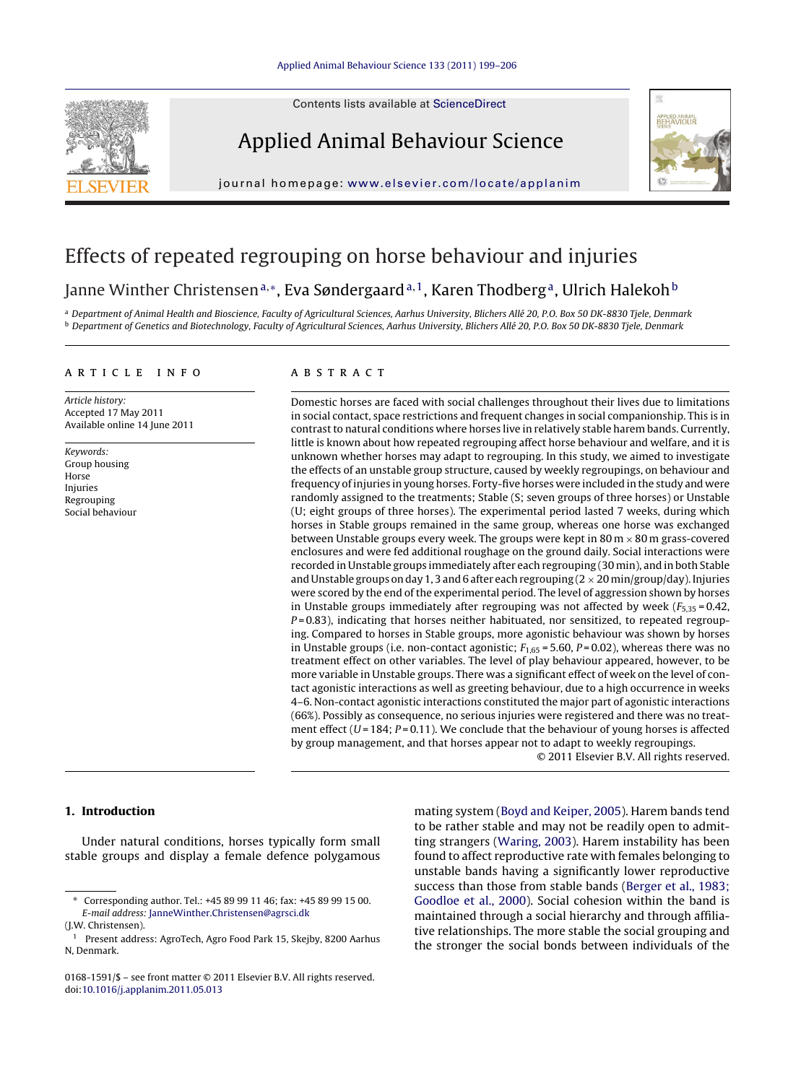Contents lists available at [ScienceDirect](http://www.sciencedirect.com/science/journal/01681591)







journal homepage: [www.elsevier.com/locate/applanim](http://www.elsevier.com/locate/applanim)

# Effects of repeated regrouping on horse behaviour and injuries

# Janne Winther Christensen<sup>a,∗</sup>, Eva Søndergaard<sup>a, 1</sup>, Karen Thodberg<sup>a</sup>, Ulrich Halekoh<sup>b</sup>

a Department of Animal Health and Bioscience, Faculty of Agricultural Sciences, Aarhus University, Blichers Allé 20, P.O. Box 50 DK-8830 Tjele, Denmark <sup>b</sup> Department of Genetics and Biotechnology, Faculty of Agricultural Sciences, Aarhus University, Blichers Allé 20, P.O. Box 50 DK-8830 Tjele, Denmark

#### a r t i c l e i n f o

Article history: Accepted 17 May 2011 Available online 14 June 2011

Keywords: Group housing Horse Injuries Regrouping Social behaviour

# a b s t r a c t

Domestic horses are faced with social challenges throughout their lives due to limitations in social contact, space restrictions and frequent changes in social companionship. This is in contrastto natural conditions where horses live in relatively stable harem bands. Currently, little is known about how repeated regrouping affect horse behaviour and welfare, and it is unknown whether horses may adapt to regrouping. In this study, we aimed to investigate the effects of an unstable group structure, caused by weekly regroupings, on behaviour and frequency of injuries in young horses. Forty-five horses were included in the study and were randomly assigned to the treatments; Stable (S; seven groups of three horses) or Unstable (U; eight groups of three horses). The experimental period lasted 7 weeks, during which horses in Stable groups remained in the same group, whereas one horse was exchanged between Unstable groups every week. The groups were kept in  $80 \,\mathrm{m} \times 80 \,\mathrm{m}$  grass-covered enclosures and were fed additional roughage on the ground daily. Social interactions were recorded in Unstable groups immediately after each regrouping (30 min), and in both Stable and Unstable groups on day 1, 3 and 6 after each regrouping  $(2 \times 20 \text{ min/group/day})$ . Injuries were scored by the end of the experimental period. The level of aggression shown by horses in Unstable groups immediately after regrouping was not affected by week  $(F_{5,35} = 0.42)$ ,  $P = 0.83$ ), indicating that horses neither habituated, nor sensitized, to repeated regrouping. Compared to horses in Stable groups, more agonistic behaviour was shown by horses in Unstable groups (i.e. non-contact agonistic;  $F_{1,65} = 5.60$ ,  $P = 0.02$ ), whereas there was no treatment effect on other variables. The level of play behaviour appeared, however, to be more variable in Unstable groups. There was a significant effect of week on the level of contact agonistic interactions as well as greeting behaviour, due to a high occurrence in weeks 4–6. Non-contact agonistic interactions constituted the major part of agonistic interactions (66%). Possibly as consequence, no serious injuries were registered and there was no treatment effect ( $U = 184$ ;  $P = 0.11$ ). We conclude that the behaviour of young horses is affected by group management, and that horses appear not to adapt to weekly regroupings.

© 2011 Elsevier B.V. All rights reserved.

# **1. Introduction**

Under natural conditions, horses typically form small stable groups and display a female defence polygamous mating system ([Boyd](#page-6-0) [and](#page-6-0) [Keiper,](#page-6-0) [2005\).](#page-6-0) Harem bands tend to be rather stable and may not be readily open to admitting strangers ([Waring,](#page-7-0) [2003\).](#page-7-0) Harem instability has been found to affect reproductive rate with females belonging to unstable bands having a significantly lower reproductive success than those from stable bands ([Berger](#page-6-0) et [al.,](#page-6-0) [1983;](#page-6-0) [Goodloe](#page-6-0) et [al.,](#page-6-0) [2000\).](#page-6-0) Social cohesion within the band is maintained through a social hierarchy and through affiliative relationships. The more stable the social grouping and the stronger the social bonds between individuals of the

<sup>∗</sup> Corresponding author. Tel.: +45 89 99 11 46; fax: +45 89 99 15 00. E-mail address: [JanneWinther.Christensen@agrsci.dk](mailto:JanneWinther.Christensen@agrsci.dk)

<sup>(</sup>J.W. Christensen).

<sup>&</sup>lt;sup>1</sup> Present address: AgroTech, Agro Food Park 15, Skejby, 8200 Aarhus N, Denmark.

<sup>0168-1591/\$</sup> – see front matter © 2011 Elsevier B.V. All rights reserved. doi:[10.1016/j.applanim.2011.05.013](dx.doi.org/10.1016/j.applanim.2011.05.013)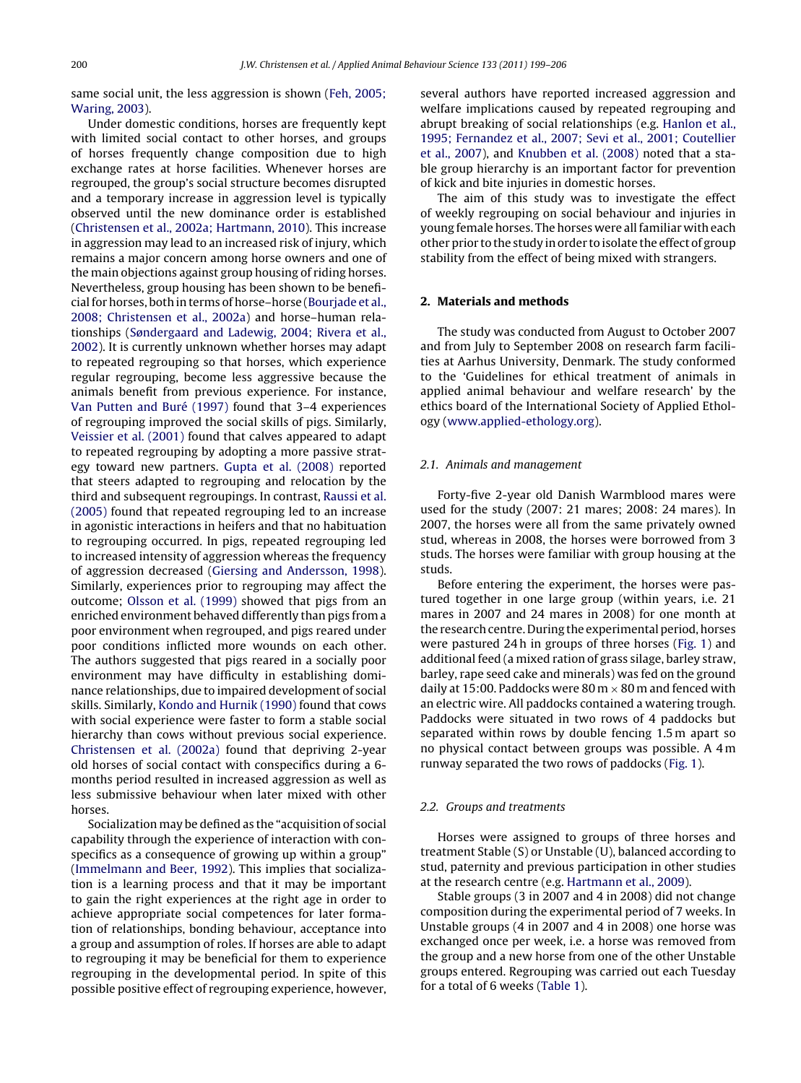same social unit, the less aggression is shown [\(Feh,](#page-6-0) [2005;](#page-6-0) [Waring,](#page-6-0) [2003\).](#page-6-0)

Under domestic conditions, horses are frequently kept with limited social contact to other horses, and groups of horses frequently change composition due to high exchange rates at horse facilities. Whenever horses are regrouped, the group's social structure becomes disrupted and a temporary increase in aggression level is typically observed until the new dominance order is established [\(Christensen](#page-6-0) et [al.,](#page-6-0) [2002a;](#page-6-0) [Hartmann,](#page-6-0) [2010\).](#page-6-0) This increase in aggression may lead to an increased risk of injury, which remains a major concern among horse owners and one of the main objections against group housing of riding horses. Nevertheless, group housing has been shown to be benefi-cial for horses, both in terms of horse-horse ([Bourjade](#page-6-0) et [al.,](#page-6-0) [2008;](#page-6-0) [Christensen](#page-6-0) et [al.,](#page-6-0) [2002a\)](#page-6-0) and horse–human relationships ([Søndergaard](#page-6-0) [and](#page-6-0) [Ladewig,](#page-6-0) [2004;](#page-6-0) [Rivera](#page-6-0) et [al.,](#page-6-0) [2002\).](#page-6-0) It is currently unknown whether horses may adapt to repeated regrouping so that horses, which experience regular regrouping, become less aggressive because the animals benefit from previous experience. For instance, [Van](#page-7-0) [Putten](#page-7-0) [and](#page-7-0) [Buré](#page-7-0) [\(1997\)](#page-7-0) found that 3–4 experiences of regrouping improved the social skills of pigs. Similarly, [Veissier](#page-7-0) et [al.](#page-7-0) [\(2001\)](#page-7-0) found that calves appeared to adapt to repeated regrouping by adopting a more passive strategy toward new partners. [Gupta](#page-6-0) et [al.](#page-6-0) [\(2008\)](#page-6-0) reported that steers adapted to regrouping and relocation by the third and subsequent regroupings. In contrast, [Raussi](#page-6-0) [et](#page-6-0) [al.](#page-6-0) [\(2005\)](#page-6-0) found that repeated regrouping led to an increase in agonistic interactions in heifers and that no habituation to regrouping occurred. In pigs, repeated regrouping led to increased intensity of aggression whereas the frequency of aggression decreased [\(Giersing](#page-6-0) [and](#page-6-0) [Andersson,](#page-6-0) [1998\).](#page-6-0) Similarly, experiences prior to regrouping may affect the outcome; [Olsson](#page-6-0) et [al.](#page-6-0) [\(1999\)](#page-6-0) showed that pigs from an enriched environment behaved differently than pigs from a poor environment when regrouped, and pigs reared under poor conditions inflicted more wounds on each other. The authors suggested that pigs reared in a socially poor environment may have difficulty in establishing dominance relationships, due to impaired development of social skills. Similarly, [Kondo](#page-6-0) [and](#page-6-0) [Hurnik](#page-6-0) [\(1990\)](#page-6-0) found that cows with social experience were faster to form a stable social hierarchy than cows without previous social experience. [Christensen](#page-6-0) et [al.](#page-6-0) [\(2002a\)](#page-6-0) found that depriving 2-year old horses of social contact with conspecifics during a 6 months period resulted in increased aggression as well as less submissive behaviour when later mixed with other horses.

Socialization may be defined as the "acquisition of social capability through the experience of interaction with conspecifics as a consequence of growing up within a group" [\(Immelmann](#page-6-0) [and](#page-6-0) [Beer,](#page-6-0) [1992\).](#page-6-0) This implies that socialization is a learning process and that it may be important to gain the right experiences at the right age in order to achieve appropriate social competences for later formation of relationships, bonding behaviour, acceptance into a group and assumption of roles. If horses are able to adapt to regrouping it may be beneficial for them to experience regrouping in the developmental period. In spite of this possible positive effect of regrouping experience, however, several authors have reported increased aggression and welfare implications caused by repeated regrouping and abrupt breaking of social relationships (e.g. [Hanlon](#page-6-0) et [al.,](#page-6-0) [1995;](#page-6-0) [Fernandez](#page-6-0) et [al.,](#page-6-0) [2007;](#page-6-0) [Sevi](#page-6-0) et [al.,](#page-6-0) [2001;](#page-6-0) [Coutellier](#page-6-0) et [al.,](#page-6-0) [2007\),](#page-6-0) and [Knubben](#page-6-0) et [al.](#page-6-0) [\(2008\)](#page-6-0) noted that a stable group hierarchy is an important factor for prevention of kick and bite injuries in domestic horses.

The aim of this study was to investigate the effect of weekly regrouping on social behaviour and injuries in young female horses. The horses were allfamiliar with each other prior to the study in order to isolate the effect of group stability from the effect of being mixed with strangers.

### **2. Materials and methods**

The study was conducted from August to October 2007 and from July to September 2008 on research farm facilities at Aarhus University, Denmark. The study conformed to the 'Guidelines for ethical treatment of animals in applied animal behaviour and welfare research' by the ethics board of the International Society of Applied Ethology [\(www.applied-ethology.org](http://www.applied-ethology.org/)).

## 2.1. Animals and management

Forty-five 2-year old Danish Warmblood mares were used for the study (2007: 21 mares; 2008: 24 mares). In 2007, the horses were all from the same privately owned stud, whereas in 2008, the horses were borrowed from 3 studs. The horses were familiar with group housing at the studs.

Before entering the experiment, the horses were pastured together in one large group (within years, i.e. 21 mares in 2007 and 24 mares in 2008) for one month at the research centre. During the experimental period, horses were pastured 24 h in groups of three horses ([Fig.](#page-2-0) 1) and additional feed (a mixed ration of grass silage, barley straw, barley, rape seed cake and minerals) was fed on the ground daily at 15:00. Paddocks were 80 m  $\times$  80 m and fenced with an electric wire. All paddocks contained a watering trough. Paddocks were situated in two rows of 4 paddocks but separated within rows by double fencing 1.5 m apart so no physical contact between groups was possible. A 4 m runway separated the two rows of paddocks ([Fig.](#page-2-0) 1).

#### 2.2. Groups and treatments

Horses were assigned to groups of three horses and treatment Stable (S) or Unstable (U), balanced according to stud, paternity and previous participation in other studies at the research centre (e.g. [Hartmann](#page-6-0) et [al.,](#page-6-0) [2009\).](#page-6-0)

Stable groups (3 in 2007 and 4 in 2008) did not change composition during the experimental period of 7 weeks. In Unstable groups (4 in 2007 and 4 in 2008) one horse was exchanged once per week, i.e. a horse was removed from the group and a new horse from one of the other Unstable groups entered. Regrouping was carried out each Tuesday for a total of 6 weeks [\(Table](#page-2-0) 1).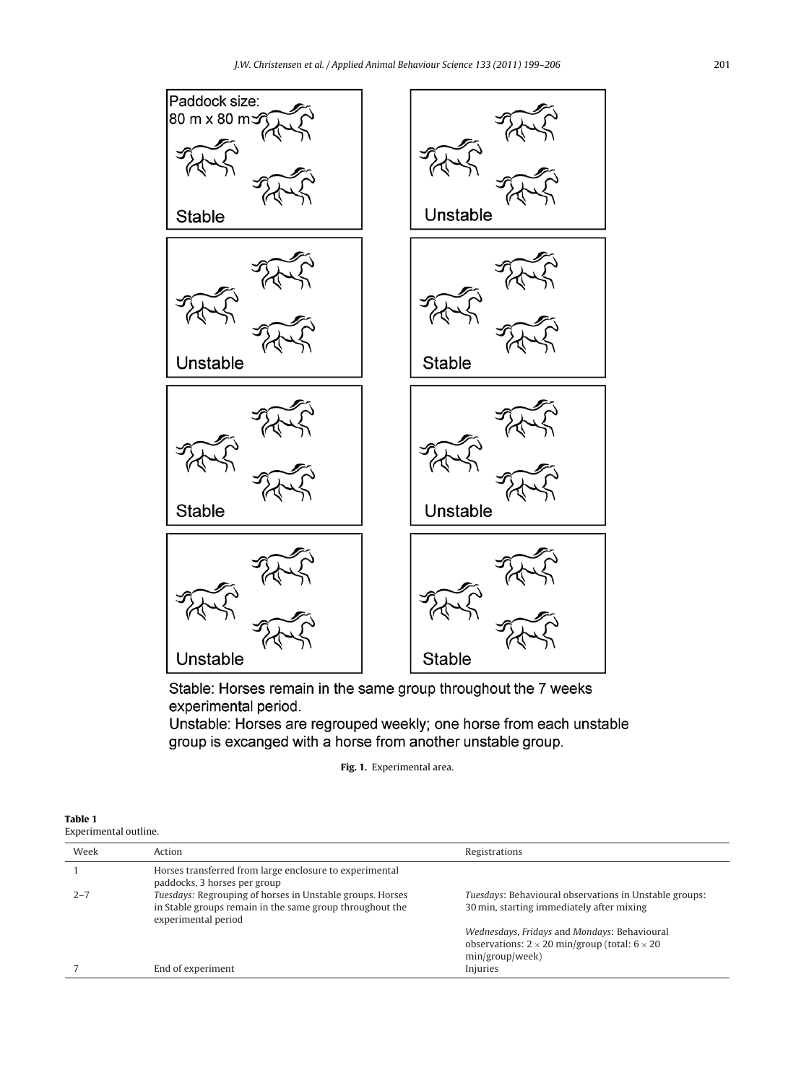<span id="page-2-0"></span>

Stable: Horses remain in the same group throughout the 7 weeks experimental period.

Unstable: Horses are regrouped weekly; one horse from each unstable group is excanged with a horse from another unstable group.

**Fig. 1.** Experimental area.

| Table 1               |  |
|-----------------------|--|
| Experimental outline. |  |

| Week    | Action                                                                                                                                       | Registrations                                                                                              |
|---------|----------------------------------------------------------------------------------------------------------------------------------------------|------------------------------------------------------------------------------------------------------------|
|         | Horses transferred from large enclosure to experimental<br>paddocks, 3 horses per group                                                      |                                                                                                            |
| $2 - 7$ | Tuesdays: Regrouping of horses in Unstable groups. Horses<br>in Stable groups remain in the same group throughout the<br>experimental period | <i>Tuesdays: Behavioural observations in Unstable groups:</i><br>30 min, starting immediately after mixing |
|         |                                                                                                                                              | Wednesdays, Fridays and Mondays: Behavioural                                                               |
|         |                                                                                                                                              | observations: $2 \times 20$ min/group (total: $6 \times 20$<br>min/group/week)                             |
|         | End of experiment                                                                                                                            | Injuries                                                                                                   |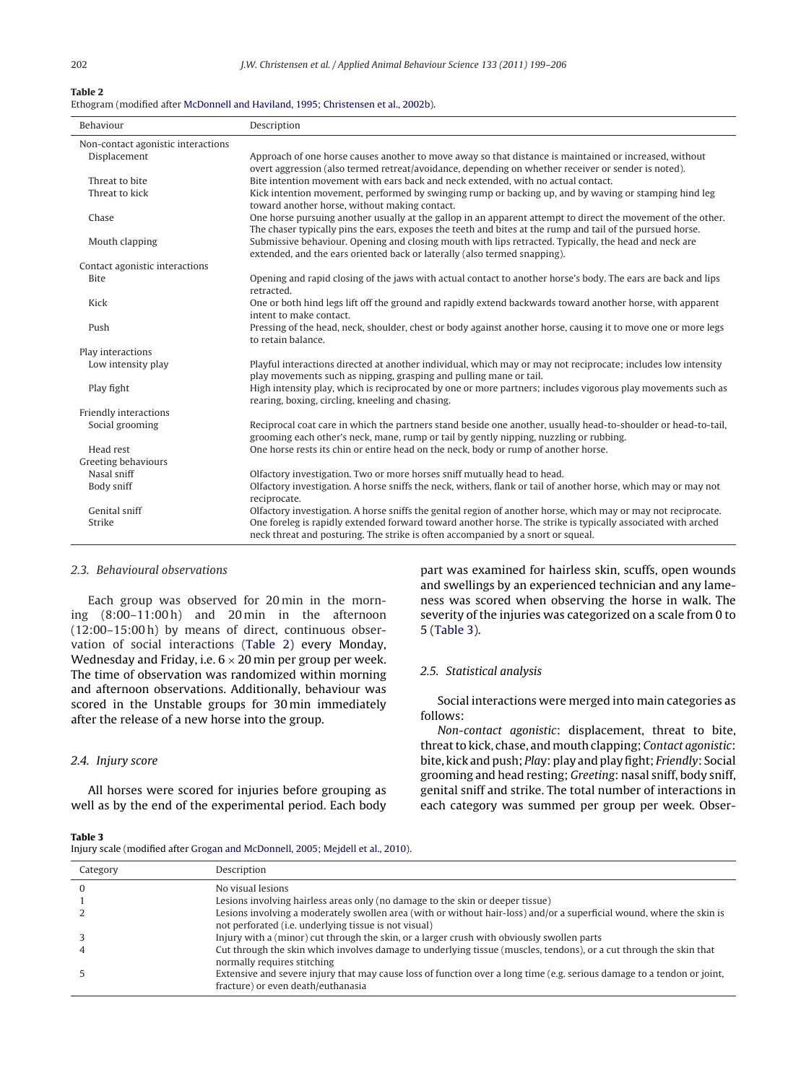#### **Table 2**

|  |  |  |  |  | Ethogram (modified after McDonnell and Haviland, 1995; Christensen et al., 2002b). |
|--|--|--|--|--|------------------------------------------------------------------------------------|
|--|--|--|--|--|------------------------------------------------------------------------------------|

| Behaviour                          | Description                                                                                                                                                                                                                |
|------------------------------------|----------------------------------------------------------------------------------------------------------------------------------------------------------------------------------------------------------------------------|
| Non-contact agonistic interactions |                                                                                                                                                                                                                            |
| Displacement                       | Approach of one horse causes another to move away so that distance is maintained or increased, without<br>overt aggression (also termed retreat/avoidance, depending on whether receiver or sender is noted).              |
| Threat to bite                     | Bite intention movement with ears back and neck extended, with no actual contact.                                                                                                                                          |
| Threat to kick                     | Kick intention movement, performed by swinging rump or backing up, and by waving or stamping hind leg<br>toward another horse, without making contact.                                                                     |
| Chase                              | One horse pursuing another usually at the gallop in an apparent attempt to direct the movement of the other.<br>The chaser typically pins the ears, exposes the teeth and bites at the rump and tail of the pursued horse. |
| Mouth clapping                     | Submissive behaviour. Opening and closing mouth with lips retracted. Typically, the head and neck are<br>extended, and the ears oriented back or laterally (also termed snapping).                                         |
| Contact agonistic interactions     |                                                                                                                                                                                                                            |
| <b>Bite</b>                        | Opening and rapid closing of the jaws with actual contact to another horse's body. The ears are back and lips<br>retracted.                                                                                                |
| Kick                               | One or both hind legs lift off the ground and rapidly extend backwards toward another horse, with apparent                                                                                                                 |
|                                    | intent to make contact.                                                                                                                                                                                                    |
| Push                               | Pressing of the head, neck, shoulder, chest or body against another horse, causing it to move one or more legs<br>to retain balance.                                                                                       |
| Play interactions                  |                                                                                                                                                                                                                            |
| Low intensity play                 | Playful interactions directed at another individual, which may or may not reciprocate; includes low intensity<br>play movements such as nipping, grasping and pulling mane or tail.                                        |
| Play fight                         | High intensity play, which is reciprocated by one or more partners; includes vigorous play movements such as<br>rearing, boxing, circling, kneeling and chasing.                                                           |
| Friendly interactions              |                                                                                                                                                                                                                            |
| Social grooming                    | Reciprocal coat care in which the partners stand beside one another, usually head-to-shoulder or head-to-tail,<br>grooming each other's neck, mane, rump or tail by gently nipping, nuzzling or rubbing.                   |
| Head rest                          | One horse rests its chin or entire head on the neck, body or rump of another horse.                                                                                                                                        |
| Greeting behaviours                |                                                                                                                                                                                                                            |
| Nasal sniff                        | Olfactory investigation. Two or more horses sniff mutually head to head.                                                                                                                                                   |
| Body sniff                         | Olfactory investigation. A horse sniffs the neck, withers, flank or tail of another horse, which may or may not<br>reciprocate.                                                                                            |
| Genital sniff                      | Olfactory investigation. A horse sniffs the genital region of another horse, which may or may not reciprocate.                                                                                                             |
| Strike                             | One foreleg is rapidly extended forward toward another horse. The strike is typically associated with arched<br>neck threat and posturing. The strike is often accompanied by a snort or squeal.                           |

#### 2.3. Behavioural observations

Each group was observed for 20 min in the morning (8:00–11:00 h) and 20 min in the afternoon (12:00–15:00 h) by means of direct, continuous observation of social interactions (Table 2) every Monday, Wednesday and Friday, i.e.  $6 \times 20$  min per group per week. The time of observation was randomized within morning and afternoon observations. Additionally, behaviour was scored in the Unstable groups for 30 min immediately after the release of a new horse into the group.

#### 2.4. Injury score

All horses were scored for injuries before grouping as well as by the end of the experimental period. Each body

part was examined for hairless skin, scuffs, open wounds and swellings by an experienced technician and any lameness was scored when observing the horse in walk. The severity of the injuries was categorized on a scale from 0 to 5 (Table 3).

#### 2.5. Statistical analysis

Social interactions were merged into main categories as follows:

Non-contact agonistic: displacement, threat to bite, threat to kick, chase, and mouth clapping; Contact agonistic: bite, kick and push; Play: play and play fight; Friendly: Social grooming and head resting; Greeting: nasal sniff, body sniff, genital sniff and strike. The total number of interactions in each category was summed per group per week. Obser-

**Table 3** Injury scale (modified after [Grogan](#page-6-0) [and](#page-6-0) [McDonnell,](#page-6-0) [2005;](#page-6-0) [Mejdell](#page-6-0) et [al.,](#page-6-0) [2010\).](#page-6-0)

| Category | Description                                                                                                             |
|----------|-------------------------------------------------------------------------------------------------------------------------|
|          | No visual lesions                                                                                                       |
|          | Lesions involving hairless areas only (no damage to the skin or deeper tissue)                                          |
|          | Lesions involving a moderately swollen area (with or without hair-loss) and/or a superficial wound, where the skin is   |
|          | not perforated ( <i>i.e.</i> underlying tissue is not visual)                                                           |
|          | Injury with a (minor) cut through the skin, or a larger crush with obviously swollen parts                              |
|          | Cut through the skin which involves damage to underlying tissue (muscles, tendons), or a cut through the skin that      |
|          | normally requires stitching                                                                                             |
|          | Extensive and severe injury that may cause loss of function over a long time (e.g. serious damage to a tendon or joint, |
|          | fracture) or even death/euthanasia                                                                                      |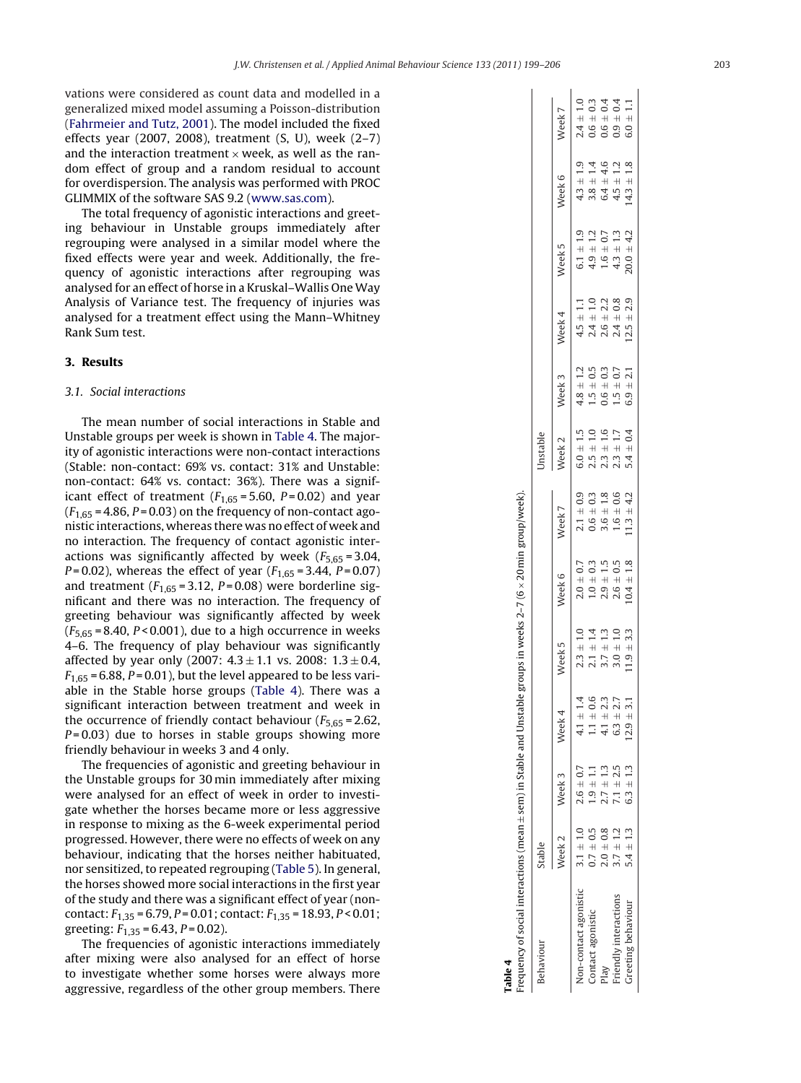<span id="page-4-0"></span>vations were considered as count data and modelled in a generalized mixed model assuming a Poisson-distribution [\(Fahrmeier](#page-6-0) [and](#page-6-0) [Tutz,](#page-6-0) [2001\).](#page-6-0) The model included the fixed effects year (2007, 2008), treatment (S, U), week (2–7) and the interaction treatment  $\times$  week, as well as the random effect of group and a random residual to account for overdispersion. The analysis was performed with PROC GLIMMIX of the software SAS 9.2 ([www.sas.com\)](http://www.sas.com/).

The total frequency of agonistic interactions and greeting behaviour in Unstable groups immediately after regrouping were analysed in a similar model where the fixed effects were year and week. Additionally, the frequency of agonistic interactions after regrouping was analysed for an effect of horse in a Kruskal–Wallis One Way Analysis of Variance test. The frequency of injuries was analysed for a treatment effect using the Mann–Whitney Rank Sum test.

# **3. Results**

#### 3.1. Social interactions

The mean number of social interactions in Stable and Unstable groups per week is shown in Table 4 . The majority of agonistic interactions were non-contact interactions (Stable: non-contact: 69% vs. contact: 31% and Unstable: non-contact: 64% vs. contact: 36%). There was a significant effect of treatment  $(F<sub>1,65</sub> = 5.60, P = 0.02)$  and year  $(F<sub>1,65</sub> = 4.86, P = 0.03)$  on the frequency of non-contact agonistic interactions, whereas there was no effect of week and no interaction. The frequency of contact agonistic interactions was significantly affected by week  $(F_{5,65} = 3.04,$  $P = 0.02$ ), whereas the effect of year ( $F_{1,65} = 3.44$ ,  $P = 0.07$ ) and treatment ( $F_{1,65}$  = 3.12, P = 0.08) were borderline significant and there was no interaction. The frequency of greeting behaviour was significantly affected by week  $(F_{5,65} = 8.40, P < 0.001)$ , due to a high occurrence in weeks 4–6. The frequency of play behaviour was significantly affected by year only (2007:  $4.3 \pm 1.1$  vs. 2008:  $1.3 \pm 0.4,$  $F_{1,65}$  = 6.88, P = 0.01), but the level appeared to be less variable in the Stable horse groups (Table 4). There was a significant interaction between treatment and week in the occurrence of friendly contact behaviour ( $F_{5,65}$  = 2.62, P = 0.03) due to horses in stable groups showing more friendly behaviour in weeks 3 and 4 only.

The frequencies of agonistic and greeting behaviour in the Unstable groups for 30 min immediately after mixing were analysed for an effect of week in order to investigate whether the horses became more or less aggressive in response to mixing as the 6-week experimental period progressed. However, there were no effects of week on any behaviour, indicating that the horses neither habituated, nor sensitized, to repeated regrouping [\(Table](#page-5-0) 5). In general, the horses showed more social interactions in the first year of the study and there was a significant effect of year (noncontact:  $F_{1,35}$  = 6.79, P = 0.01; contact:  $F_{1,35}$  = 18.93, P < 0.01; greeting: F<sub>1,35</sub> = 6.43, P = 0.02).

The frequencies of agonistic interactions immediately after mixing were also analysed for an effect of horse to investigate whether some horses were always more aggressive, regardless of the other group members. There

| requency of social interactions (mean $\pm$ sem) in Stable and Unstable groups in weeks 2-7 (6 × 20 min group/week). |               |                      |                   |                |                |                             |                   |                   |                                |                                                           |                   |               |
|----------------------------------------------------------------------------------------------------------------------|---------------|----------------------|-------------------|----------------|----------------|-----------------------------|-------------------|-------------------|--------------------------------|-----------------------------------------------------------|-------------------|---------------|
| Behaviour                                                                                                            | Stable        |                      |                   |                |                |                             | Unstable          |                   |                                |                                                           |                   |               |
|                                                                                                                      |               | Week 2 Week 3 Week 4 |                   | Week 5         | Week 6         | Week 7                      | Week <sub>2</sub> | Week <sub>3</sub> | Week 4                         | Week 5                                                    | Week <sub>6</sub> | Week 7        |
| <b>Von-contact agonistic</b>                                                                                         | $3.1 \pm 1.0$ | $2.6 \pm 0.7$        | ± 1.4             | $2.3 \pm 1.0$  | $2.0 \pm 0.7$  | $2.1 \pm 0.9$               | $6.0 \pm 1.5$     | $4.8 \pm 1.2$     | $4.5 \pm 1.1$                  | $6.1 \pm 1.9$                                             | $4.3 \pm 1.9$     | $2.4 \pm 1.0$ |
| Contact agonistic                                                                                                    | $0.7 \pm 0.5$ | $1.9 \pm 1.1$        | $\pm~0.6$         | $2.1 \pm 1.4$  | $1.0 \pm 0.3$  | $0.6 \pm 0.3$               | $2.5 \pm 1.0$     | $1.5 \pm 0.5$     | $2.4 \pm 1.0$                  | $4.9 \pm 1.2$                                             | $3.8 \pm 1.4$     | $0.6\pm0.3$   |
|                                                                                                                      | $2.0 \pm 0.8$ | $2.7 \pm 1.3$        | $\pm 2.3$         | $3.7 \pm 1.3$  | $2.9 \pm 1.5$  |                             | $2.3 \pm 1.6$     | $0.6 \pm 0.3$     |                                |                                                           | $6.4 \pm 4.6$     | $0.6 \pm 0.4$ |
| riendly interactions                                                                                                 | $3.7 \pm 1.2$ | $7.1 + 2.5$          | $\pm 2.7$         | $3.0\pm1.0$    | $2.6\pm0.5$    | $3.6 \pm 1.8$ $1.6 \pm 0.6$ | $2.3 \pm 1.7$     | $1.5\,\pm\,0.7$   | $2.6 \pm 2.2$<br>$2.4 \pm 0.8$ | $\begin{array}{c} 1.6 \pm 0.7 \\ 4.3 \pm 1.3 \end{array}$ | $4.5 \pm 1.2$     | $0.9 \pm 0.4$ |
| Greeting behaviour                                                                                                   | $5.4 \pm 1.3$ | $6.3 \pm 1.3$        | $\pm$ 3.1<br>12.9 | $11.9 \pm 3.3$ | $10.4 \pm 1.8$ | $11.3 \pm 4.2$              | $5.4 \pm 0.4$     | $6.9 \pm 2.1$     | $12.5 \pm 2.9$                 | $20.0 + 4.2$                                              | $14.3 \pm 1.8$    | $6.0 \pm 1.1$ |

**Table 4**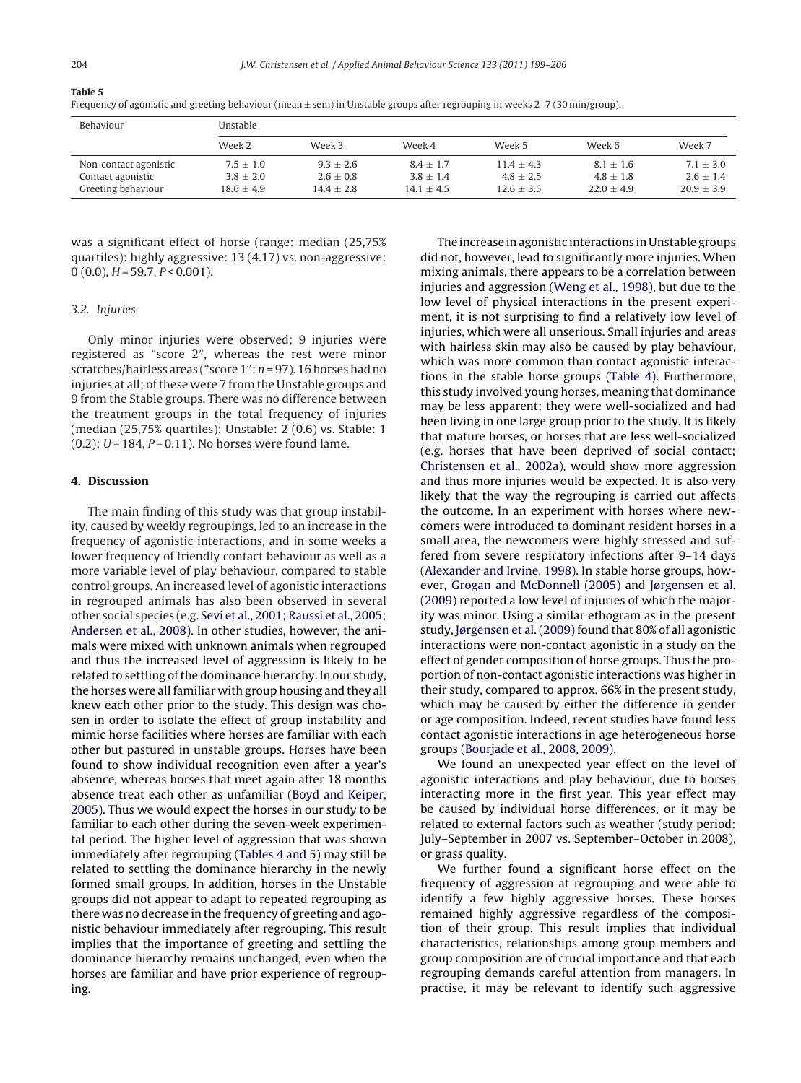<span id="page-5-0"></span>**Table 5**

Frequency of agonistic and greeting behaviour (mean ± sem) in Unstable groups after regrouping in weeks 2–7 (30 min/group).

| Behaviour             | Unstable     |              |              |              |              |              |
|-----------------------|--------------|--------------|--------------|--------------|--------------|--------------|
|                       | Week 2       | Week 3       | Week 4       | Week 5       | Week 6       | Week 7       |
| Non-contact agonistic | $7.5 + 1.0$  | $9.3 + 2.6$  | $8.4 + 1.7$  | $11.4 + 4.3$ | $8.1 + 1.6$  | $7.1 + 3.0$  |
| Contact agonistic     | $3.8 + 2.0$  | $2.6 + 0.8$  | $3.8 + 1.4$  | $4.8 + 2.5$  | $4.8 + 1.8$  | $2.6 + 1.4$  |
| Greeting behaviour    | $18.6 + 4.9$ | $14.4 + 2.8$ | $14.1 + 4.5$ | $12.6 + 3.5$ | $22.0 + 4.9$ | $20.9 + 3.9$ |

was a significant effect of horse (range: median (25,75% quartiles): highly aggressive: 13 (4.17) vs. non-aggressive:  $0(0.0)$ ,  $H = 59.7$ ,  $P < 0.001$ ).

#### 3.2. Injuries

Only minor injuries were observed; 9 injuries were registered as "score 2", whereas the rest were minor scratches/hairless areas ("score  $1$ ":  $n = 97$ ). 16 horses had no injuries at all; of these were 7 from the Unstable groups and 9 from the Stable groups. There was no difference between the treatment groups in the total frequency of injuries (median (25,75% quartiles): Unstable: 2 (0.6) vs. Stable: 1  $(0.2)$ ;  $U = 184$ ,  $P = 0.11$ ). No horses were found lame.

#### **4. Discussion**

The main finding of this study was that group instability, caused by weekly regroupings, led to an increase in the frequency of agonistic interactions, and in some weeks a lower frequency of friendly contact behaviour as well as a more variable level of play behaviour, compared to stable control groups. An increased level of agonistic interactions in regrouped animals has also been observed in several other social species (e.g. [Sevi](#page-6-0) et [al.,](#page-6-0) [2001;](#page-6-0) [Raussi](#page-6-0) et [al.,](#page-6-0) [2005;](#page-6-0) [Andersen](#page-6-0) et [al.,](#page-6-0) [2008\).](#page-6-0) In other studies, however, the animals were mixed with unknown animals when regrouped and thus the increased level of aggression is likely to be related to settling of the dominance hierarchy. In our study, the horses were all familiar with group housing and they all knew each other prior to the study. This design was chosen in order to isolate the effect of group instability and mimic horse facilities where horses are familiar with each other but pastured in unstable groups. Horses have been found to show individual recognition even after a year's absence, whereas horses that meet again after 18 months absence treat each other as unfamiliar [\(Boyd](#page-6-0) [and](#page-6-0) [Keiper,](#page-6-0) [2005\).](#page-6-0) Thus we would expect the horses in our study to be familiar to each other during the seven-week experimental period. The higher level of aggression that was shown immediately after regrouping [\(Tables](#page-4-0) 4 and 5) may still be related to settling the dominance hierarchy in the newly formed small groups. In addition, horses in the Unstable groups did not appear to adapt to repeated regrouping as there was no decrease in the frequency of greeting and agonistic behaviour immediately after regrouping. This result implies that the importance of greeting and settling the dominance hierarchy remains unchanged, even when the horses are familiar and have prior experience of regrouping.

The increase in agonistic interactions in Unstable groups did not, however, lead to significantly more injuries. When mixing animals, there appears to be a correlation between injuries and aggression ([Weng](#page-7-0) et [al.,](#page-7-0) [1998\),](#page-7-0) but due to the low level of physical interactions in the present experiment, it is not surprising to find a relatively low level of injuries, which were all unserious. Small injuries and areas with hairless skin may also be caused by play behaviour, which was more common than contact agonistic interactions in the stable horse groups ([Table](#page-4-0) 4). Furthermore, this study involved young horses, meaning that dominance may be less apparent; they were well-socialized and had been living in one large group prior to the study. It is likely that mature horses, or horses that are less well-socialized (e.g. horses that have been deprived of social contact; [Christensen](#page-6-0) et [al.,](#page-6-0) [2002a\),](#page-6-0) would show more aggression and thus more injuries would be expected. It is also very likely that the way the regrouping is carried out affects the outcome. In an experiment with horses where newcomers were introduced to dominant resident horses in a small area, the newcomers were highly stressed and suffered from severe respiratory infections after 9–14 days [\(Alexander](#page-6-0) [and](#page-6-0) [Irvine,](#page-6-0) [1998\).](#page-6-0) In stable horse groups, however, [Grogan](#page-6-0) [and](#page-6-0) [McDonnell](#page-6-0) [\(2005\)](#page-6-0) and [Jørgensen](#page-6-0) et [al.](#page-6-0) [\(2009\)](#page-6-0) reported a low level of injuries of which the majority was minor. Using a similar ethogram as in the present study, [Jørgensen](#page-6-0) et al. (2009) found that 80% of all agonistic interactions were non-contact agonistic in a study on the effect of gender composition of horse groups. Thus the proportion of non-contact agonistic interactions was higher in their study, compared to approx. 66% in the present study, which may be caused by either the difference in gender or age composition. Indeed, recent studies have found less contact agonistic interactions in age heterogeneous horse groups ([Bourjade](#page-6-0) et [al.,](#page-6-0) [2008,](#page-6-0) [2009\).](#page-6-0)

We found an unexpected year effect on the level of agonistic interactions and play behaviour, due to horses interacting more in the first year. This year effect may be caused by individual horse differences, or it may be related to external factors such as weather (study period: July–September in 2007 vs. September–October in 2008), or grass quality.

We further found a significant horse effect on the frequency of aggression at regrouping and were able to identify a few highly aggressive horses. These horses remained highly aggressive regardless of the composition of their group. This result implies that individual characteristics, relationships among group members and group composition are of crucial importance and that each regrouping demands careful attention from managers. In practise, it may be relevant to identify such aggressive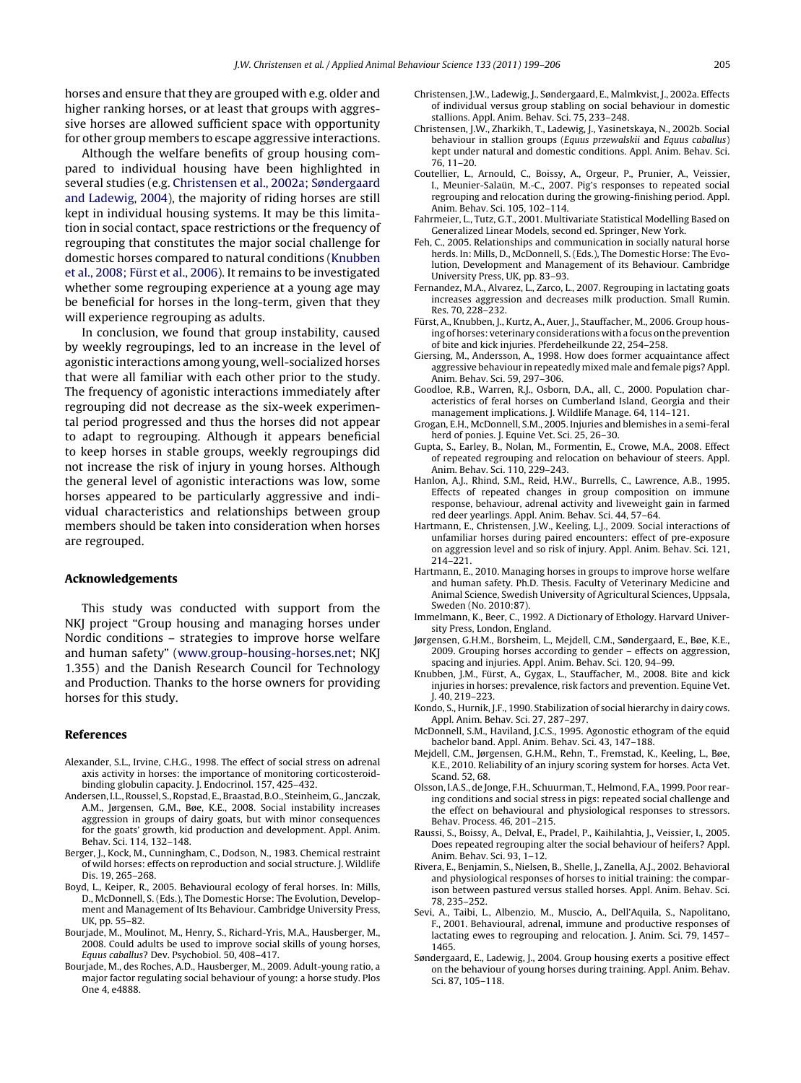<span id="page-6-0"></span>horses and ensure that they are grouped with e.g. older and higher ranking horses, or at least that groups with aggressive horses are allowed sufficient space with opportunity for other group members to escape aggressive interactions.

Although the welfare benefits of group housing compared to individual housing have been highlighted in several studies (e.g. Christensen et al., 2002a; Søndergaard and Ladewig, 2004), the majority of riding horses are still kept in individual housing systems. It may be this limitation in social contact, space restrictions or the frequency of regrouping that constitutes the major social challenge for domestic horses compared to natural conditions (Knubben et al., 2008; Fürst et al., 2006). It remains to be investigated whether some regrouping experience at a young age may be beneficial for horses in the long-term, given that they will experience regrouping as adults.

In conclusion, we found that group instability, caused by weekly regroupings, led to an increase in the level of agonistic interactions among young, well-socialized horses that were all familiar with each other prior to the study. The frequency of agonistic interactions immediately after regrouping did not decrease as the six-week experimental period progressed and thus the horses did not appear to adapt to regrouping. Although it appears beneficial to keep horses in stable groups, weekly regroupings did not increase the risk of injury in young horses. Although the general level of agonistic interactions was low, some horses appeared to be particularly aggressive and individual characteristics and relationships between group members should be taken into consideration when horses are regrouped.

#### **Acknowledgements**

This study was conducted with support from the NKJ project "Group housing and managing horses under Nordic conditions – strategies to improve horse welfare and human safety" [\(www.group-housing-horses.net](http://www.group-housing-horses.net/); NKJ 1.355) and the Danish Research Council for Technology and Production. Thanks to the horse owners for providing horses for this study.

#### **References**

- Alexander, S.L., Irvine, C.H.G., 1998. The effect of social stress on adrenal axis activity in horses: the importance of monitoring corticosteroidbinding globulin capacity. J. Endocrinol. 157, 425–432.
- Andersen, I.L., Roussel, S., Ropstad, E., Braastad, B.O., Steinheim, G., Janczak, A.M., Jørgensen, G.M., Bøe, K.E., 2008. Social instability increases aggression in groups of dairy goats, but with minor consequences for the goats' growth, kid production and development. Appl. Anim. Behav. Sci. 114, 132–148.
- Berger, J., Kock, M., Cunningham, C., Dodson, N., 1983. Chemical restraint of wild horses: effects on reproduction and social structure. J. Wildlife Dis. 19, 265–268.
- Boyd, L., Keiper, R., 2005. Behavioural ecology of feral horses. In: Mills, D., McDonnell, S. (Eds.), The Domestic Horse: The Evolution, Development and Management of Its Behaviour. Cambridge University Press, UK, pp. 55–82.
- Bourjade, M., Moulinot, M., Henry, S., Richard-Yris, M.A., Hausberger, M., 2008. Could adults be used to improve social skills of young horses, Equus caballus? Dev. Psychobiol. 50, 408–417.
- Bourjade, M., des Roches, A.D., Hausberger, M., 2009. Adult-young ratio, a major factor regulating social behaviour of young: a horse study. Plos One 4, e4888.
- Christensen, J.W., Ladewig, J., Søndergaard, E., Malmkvist, J., 2002a. Effects of individual versus group stabling on social behaviour in domestic stallions. Appl. Anim. Behav. Sci. 75, 233–248.
- Christensen, J.W., Zharkikh, T., Ladewig, J., Yasinetskaya, N., 2002b. Social behaviour in stallion groups (Equus przewalskii and Equus caballus) kept under natural and domestic conditions. Appl. Anim. Behav. Sci. 76, 11–20.
- Coutellier, L., Arnould, C., Boissy, A., Orgeur, P., Prunier, A., Veissier, I., Meunier-Salaün, M.-C., 2007. Pig's responses to repeated social regrouping and relocation during the growing-finishing period. Appl. Anim. Behav. Sci. 105, 102–114.
- Fahrmeier, L., Tutz, G.T., 2001. Multivariate Statistical Modelling Based on Generalized Linear Models, second ed. Springer, New York.
- Feh, C., 2005. Relationships and communication in socially natural horse herds. In: Mills, D., McDonnell, S. (Eds.), The Domestic Horse: The Evolution, Development and Management of its Behaviour. Cambridge University Press, UK, pp. 83–93.
- Fernandez, M.A., Alvarez, L., Zarco, L., 2007. Regrouping in lactating goats increases aggression and decreases milk production. Small Rumin. Res. 70, 228–232.
- Fürst, A., Knubben, J., Kurtz, A., Auer, J., Stauffacher, M., 2006. Group housing of horses: veterinary considerations with a focus on the prevention of bite and kick injuries. Pferdeheilkunde 22, 254–258.
- Giersing, M., Andersson, A., 1998. How does former acquaintance affect aggressive behaviour in repeatedly mixed male and female pigs?Appl. Anim. Behav. Sci. 59, 297–306.
- Goodloe, R.B., Warren, R.J., Osborn, D.A., all, C., 2000. Population characteristics of feral horses on Cumberland Island, Georgia and their management implications. J. Wildlife Manage. 64, 114–121.
- Grogan, E.H., McDonnell, S.M., 2005. Injuries and blemishes in a semi-feral herd of ponies. J. Equine Vet. Sci. 25, 26-30.
- Gupta, S., Earley, B., Nolan, M., Formentin, E., Crowe, M.A., 2008. Effect of repeated regrouping and relocation on behaviour of steers. Appl. Anim. Behav. Sci. 110, 229–243.
- Hanlon, A.J., Rhind, S.M., Reid, H.W., Burrells, C., Lawrence, A.B., 1995. Effects of repeated changes in group composition on immune response, behaviour, adrenal activity and liveweight gain in farmed red deer yearlings. Appl. Anim. Behav. Sci. 44, 57–64.
- Hartmann, E., Christensen, J.W., Keeling, L.J., 2009. Social interactions of unfamiliar horses during paired encounters: effect of pre-exposure on aggression level and so risk of injury. Appl. Anim. Behav. Sci. 121, 214–221.
- Hartmann, E., 2010. Managing horses in groups to improve horse welfare and human safety. Ph.D. Thesis. Faculty of Veterinary Medicine and Animal Science, Swedish University of Agricultural Sciences, Uppsala, Sweden (No. 2010:87).
- Immelmann, K., Beer, C., 1992. A Dictionary of Ethology. Harvard University Press, London, England.
- Jørgensen, G.H.M., Borsheim, L., Mejdell, C.M., Søndergaard, E., Bøe, K.E., 2009. Grouping horses according to gender – effects on aggression, spacing and injuries. Appl. Anim. Behav. Sci. 120, 94–99.
- Knubben, J.M., Fürst, A., Gygax, L., Stauffacher, M., 2008. Bite and kick injuries in horses: prevalence, risk factors and prevention. Equine Vet. J. 40, 219–223.
- Kondo, S., Hurnik, J.F., 1990. Stabilization of social hierarchy in dairy cows. Appl. Anim. Behav. Sci. 27, 287–297.
- McDonnell, S.M., Haviland, J.C.S., 1995. Agonostic ethogram of the equid bachelor band. Appl. Anim. Behav. Sci. 43, 147–188.
- Mejdell, C.M., Jørgensen, G.H.M., Rehn, T., Fremstad, K., Keeling, L., Bøe, K.E., 2010. Reliability of an injury scoring system for horses. Acta Vet. Scand. 52, 68.
- Olsson, I.A.S., de Jonge, F.H., Schuurman, T., Helmond, F.A., 1999. Poor rearing conditions and social stress in pigs: repeated social challenge and the effect on behavioural and physiological responses to stressors. Behav. Process. 46, 201–215.
- Raussi, S., Boissy, A., Delval, E., Pradel, P., Kaihilahtia, J., Veissier, I., 2005. Does repeated regrouping alter the social behaviour of heifers? Appl. Anim. Behav. Sci. 93, 1–12.
- Rivera, E., Benjamin, S., Nielsen, B., Shelle, J., Zanella, A.J., 2002. Behavioral and physiological responses of horses to initial training: the comparison between pastured versus stalled horses. Appl. Anim. Behav. Sci. 78, 235–252.
- Sevi, A., Taibi, L., Albenzio, M., Muscio, A., Dell'Aquila, S., Napolitano, F., 2001. Behavioural, adrenal, immune and productive responses of lactating ewes to regrouping and relocation. J. Anim. Sci. 79, 1457– 1465.
- Søndergaard, E., Ladewig, J., 2004. Group housing exerts a positive effect on the behaviour of young horses during training. Appl. Anim. Behav. Sci. 87, 105–118.